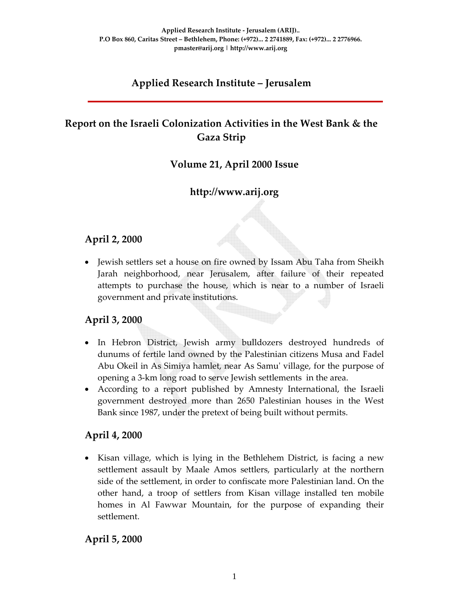# **Applied Research Institute – Jerusalem**

# **Report on the Israeli Colonization Activities in the West Bank & the Gaza Strip**

### **Volume 21, April 2000 Issue**

## **http://www.arij.org**

## **April 2, 2000**

• Jewish settlers set a house on fire owned by Issam Abu Taha from Sheikh Jarah neighborhood, near Jerusalem, after failure of their repeated attempts to purchase the house, which is near to a number of Israeli government and private institutions.

## **April 3, 2000**

- In Hebron District, Jewish army bulldozers destroyed hundreds of dunums of fertile land owned by the Palestinian citizens Musa and Fadel Abu Okeil in As Simiya hamlet, near As Samuʹ village, for the purpose of opening a 3‐km long road to serve Jewish settlements in the area.
- According to a report published by Amnesty International, the Israeli government destroyed more than 2650 Palestinian houses in the West Bank since 1987, under the pretext of being built without permits.

### **April 4, 2000**

• Kisan village, which is lying in the Bethlehem District, is facing a new settlement assault by Maale Amos settlers, particularly at the northern side of the settlement, in order to confiscate more Palestinian land. On the other hand, a troop of settlers from Kisan village installed ten mobile homes in Al Fawwar Mountain, for the purpose of expanding their settlement.

## **April 5, 2000**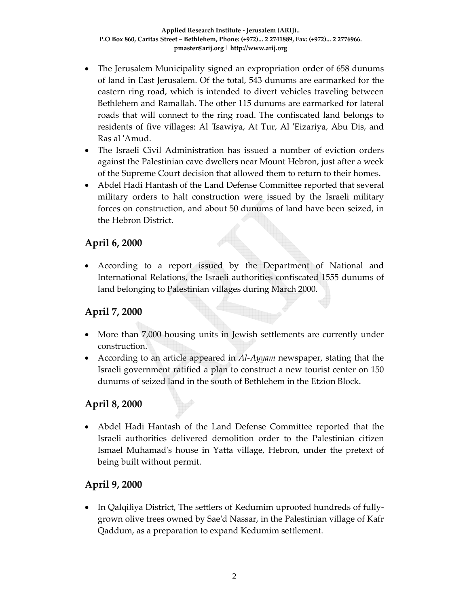- The Jerusalem Municipality signed an expropriation order of 658 dunums of land in East Jerusalem. Of the total, 543 dunums are earmarked for the eastern ring road, which is intended to divert vehicles traveling between Bethlehem and Ramallah. The other 115 dunums are earmarked for lateral roads that will connect to the ring road. The confiscated land belongs to residents of five villages: Al 'Isawiya, At Tur, Al 'Eizariya, Abu Dis, and Ras al ʹAmud.
- The Israeli Civil Administration has issued a number of eviction orders against the Palestinian cave dwellers near Mount Hebron, just after a week of the Supreme Court decision that allowed them to return to their homes.
- Abdel Hadi Hantash of the Land Defense Committee reported that several military orders to halt construction were issued by the Israeli military forces on construction, and about 50 dunums of land have been seized, in the Hebron District.

### **April 6, 2000**

• According to a report issued by the Department of National and International Relations, the Israeli authorities confiscated 1555 dunums of land belonging to Palestinian villages during March 2000.

### **April 7, 2000**

- More than 7,000 housing units in Jewish settlements are currently under construction.
- According to an article appeared in *Al‐Ayyam* newspaper, stating that the Israeli government ratified a plan to construct a new tourist center on 150 dunums of seized land in the south of Bethlehem in the Etzion Block.

## **April 8, 2000**

• Abdel Hadi Hantash of the Land Defense Committee reported that the Israeli authorities delivered demolition order to the Palestinian citizen Ismael Muhamadʹs house in Yatta village, Hebron, under the pretext of being built without permit.

### **April 9, 2000**

• In Qalqiliya District, The settlers of Kedumim uprooted hundreds of fully‐ grown olive trees owned by Saeʹd Nassar, in the Palestinian village of Kafr Qaddum, as a preparation to expand Kedumim settlement.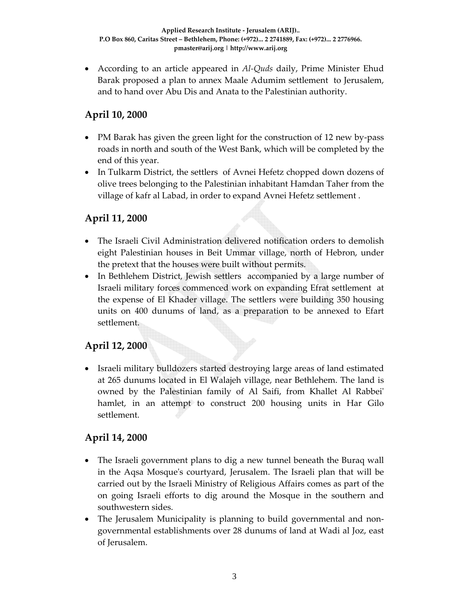• According to an article appeared in *Al‐Quds* daily, Prime Minister Ehud Barak proposed a plan to annex Maale Adumim settlement to Jerusalem, and to hand over Abu Dis and Anata to the Palestinian authority.

### **April 10, 2000**

- PM Barak has given the green light for the construction of 12 new by-pass roads in north and south of the West Bank, which will be completed by the end of this year.
- In Tulkarm District, the settlers of Avnei Hefetz chopped down dozens of olive trees belonging to the Palestinian inhabitant Hamdan Taher from the village of kafr al Labad, in order to expand Avnei Hefetz settlement .

### **April 11, 2000**

- The Israeli Civil Administration delivered notification orders to demolish eight Palestinian houses in Beit Ummar village, north of Hebron, under the pretext that the houses were built without permits.
- In Bethlehem District, Jewish settlers accompanied by a large number of Israeli military forces commenced work on expanding Efrat settlement at the expense of El Khader village. The settlers were building 350 housing units on 400 dunums of land, as a preparation to be annexed to Efart settlement.

## **April 12, 2000**

• Israeli military bulldozers started destroying large areas of land estimated at 265 dunums located in El Walajeh village, near Bethlehem. The land is owned by the Palestinian family of Al Saifi, from Khallet Al Rabbeiʹ hamlet, in an attempt to construct 200 housing units in Har Gilo settlement.

### **April 14, 2000**

- The Israeli government plans to dig a new tunnel beneath the Buraq wall in the Aqsa Mosqueʹs courtyard, Jerusalem. The Israeli plan that will be carried out by the Israeli Ministry of Religious Affairs comes as part of the on going Israeli efforts to dig around the Mosque in the southern and southwestern sides.
- The Jerusalem Municipality is planning to build governmental and nongovernmental establishments over 28 dunums of land at Wadi al Joz, east of Jerusalem.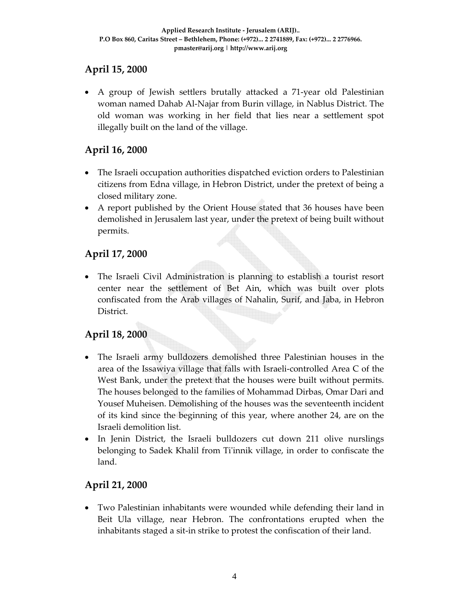## **April 15, 2000**

• A group of Jewish settlers brutally attacked a 71-year old Palestinian woman named Dahab Al‐Najar from Burin village, in Nablus District. The old woman was working in her field that lies near a settlement spot illegally built on the land of the village.

# **April 16, 2000**

- The Israeli occupation authorities dispatched eviction orders to Palestinian citizens from Edna village, in Hebron District, under the pretext of being a closed military zone.
- A report published by the Orient House stated that 36 houses have been demolished in Jerusalem last year, under the pretext of being built without permits.

# **April 17, 2000**

• The Israeli Civil Administration is planning to establish a tourist resort center near the settlement of Bet Ain, which was built over plots confiscated from the Arab villages of Nahalin, Surif, and Jaba, in Hebron District.

# **April 18, 2000**

- The Israeli army bulldozers demolished three Palestinian houses in the area of the Issawiya village that falls with Israeli‐controlled Area C of the West Bank, under the pretext that the houses were built without permits. The houses belonged to the families of Mohammad Dirbas, Omar Dari and Yousef Muheisen. Demolishing of the houses was the seventeenth incident of its kind since the beginning of this year, where another 24, are on the Israeli demolition list.
- In Jenin District, the Israeli bulldozers cut down 211 olive nurslings belonging to Sadek Khalil from Ti'innik village, in order to confiscate the land.

## **April 21, 2000**

• Two Palestinian inhabitants were wounded while defending their land in Beit Ula village, near Hebron. The confrontations erupted when the inhabitants staged a sit‐in strike to protest the confiscation of their land.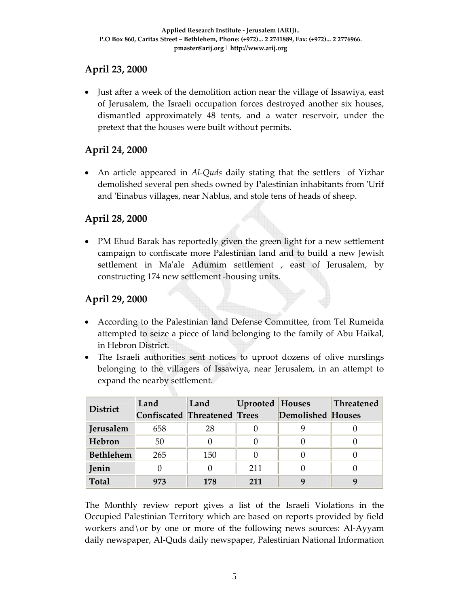## **April 23, 2000**

• Just after a week of the demolition action near the village of Issawiya, east of Jerusalem, the Israeli occupation forces destroyed another six houses, dismantled approximately 48 tents, and a water reservoir, under the pretext that the houses were built without permits.

# **April 24, 2000**

• An article appeared in *Al*-*Quds* daily stating that the settlers of Yizhar demolished several pen sheds owned by Palestinian inhabitants from ʹUrif and 'Einabus villages, near Nablus, and stole tens of heads of sheep.

### **April 28, 2000**

• PM Ehud Barak has reportedly given the green light for a new settlement campaign to confiscate more Palestinian land and to build a new Jewish settlement in Ma'ale Adumim settlement, east of Jerusalem, by constructing 174 new settlement ‐housing units.

## **April 29, 2000**

- According to the Palestinian land Defense Committee, from Tel Rumeida attempted to seize a piece of land belonging to the family of Abu Haikal, in Hebron District.
- The Israeli authorities sent notices to uproot dozens of olive nurslings belonging to the villagers of Issawiya, near Jerusalem, in an attempt to expand the nearby settlement.

| <b>District</b>  | Land                                | Land | <b>Uprooted Houses</b> |                          | <b>Threatened</b> |
|------------------|-------------------------------------|------|------------------------|--------------------------|-------------------|
|                  | <b>Confiscated Threatened Trees</b> |      |                        | <b>Demolished Houses</b> |                   |
| Jerusalem        | 658                                 | 28   |                        |                          |                   |
| Hebron           | 50                                  |      |                        |                          |                   |
| <b>Bethlehem</b> | 265                                 | 150  |                        |                          |                   |
| Jenin            |                                     |      | 211                    |                          |                   |
| <b>Total</b>     | 973                                 | 178  | 211                    | q                        |                   |

The Monthly review report gives a list of the Israeli Violations in the Occupied Palestinian Territory which are based on reports provided by field workers and\or by one or more of the following news sources: Al‐Ayyam daily newspaper, Al‐Quds daily newspaper, Palestinian National Information